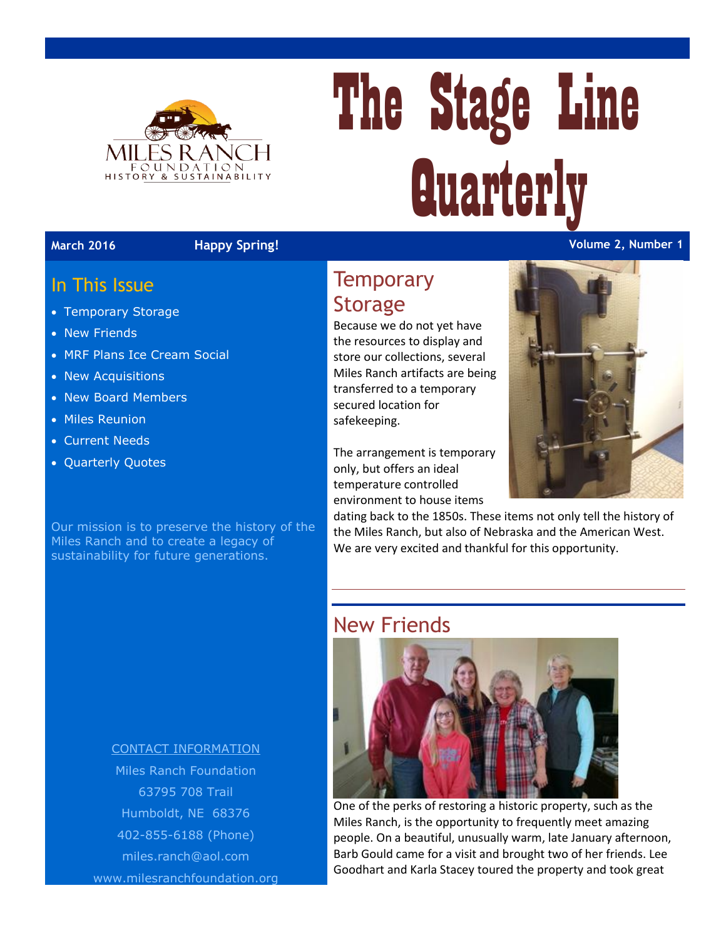

# The Stage Line **Quarterly**

#### **March 2016 Happy Spring! Volume 2, Number 1**

#### In This Issue

- Temporary Storage
- New Friends
- MRF Plans Ice Cream Social
- New Acquisitions
- New Board Members
- Miles Reunion
- Current Needs
- Quarterly Quotes

Our mission is to preserve the history of the Miles Ranch and to create a legacy of sustainability for future generations.

# **Temporary Storage**

Because we do not yet have the resources to display and store our collections, several Miles Ranch artifacts are being transferred to a temporary secured location for safekeeping.

The arrangement is temporary only, but offers an ideal temperature controlled environment to house items



dating back to the 1850s. These items not only tell the history of the Miles Ranch, but also of Nebraska and the American West. We are very excited and thankful for this opportunity.

#### New Friends



One of the perks of restoring a historic property, such as the Miles Ranch, is the opportunity to frequently meet amazing people. On a beautiful, unusually warm, late January afternoon, Barb Gould came for a visit and brought two of her friends. Lee Goodhart and Karla Stacey toured the property and took great

#### CONTACT INFORMATION

Miles Ranch Foundation 63795 708 Trail Humboldt, NE 68376 402-855-6188 (Phone) [miles.ranch@aol.com](mailto:miles.ranch@aol.com) www.milesranchfoundation.org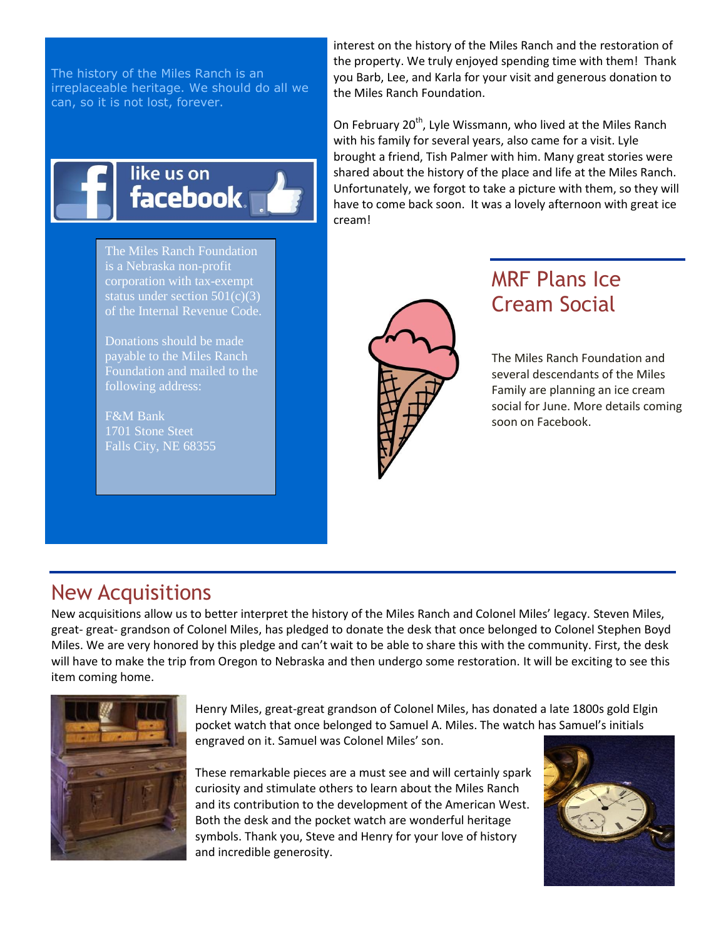The history of the Miles Ranch is an irreplaceable heritage. We should do all we can, so it is not lost, forever.



The Miles Ranch Foundation is a Nebraska non-profit corporation with tax-exempt status under section  $501(c)(3)$ of the Internal Revenue Code.

Donations should be made payable to the Miles Ranch

F&M Bank Falls City, NE 68355

interest on the history of the Miles Ranch and the restoration of the property. We truly enjoyed spending time with them! Thank you Barb, Lee, and Karla for your visit and generous donation to the Miles Ranch Foundation.

On February 20<sup>th</sup>, Lyle Wissmann, who lived at the Miles Ranch with his family for several years, also came for a visit. Lyle brought a friend, Tish Palmer with him. Many great stories were shared about the history of the place and life at the Miles Ranch. Unfortunately, we forgot to take a picture with them, so they will have to come back soon. It was a lovely afternoon with great ice cream!



# MRF Plans Ice Cream Social

The Miles Ranch Foundation and several descendants of the Miles Family are planning an ice cream social for June. More details coming soon on Facebook.

#### New Acquisitions

New acquisitions allow us to better interpret the history of the Miles Ranch and Colonel Miles' legacy. Steven Miles, great- great- grandson of Colonel Miles, has pledged to donate the desk that once belonged to Colonel Stephen Boyd Miles. We are very honored by this pledge and can't wait to be able to share this with the community. First, the desk will have to make the trip from Oregon to Nebraska and then undergo some restoration. It will be exciting to see this item coming home.



Henry Miles, great-great grandson of Colonel Miles, has donated a late 1800s gold Elgin pocket watch that once belonged to Samuel A. Miles. The watch has Samuel's initials engraved on it. Samuel was Colonel Miles' son.

These remarkable pieces are a must see and will certainly spark curiosity and stimulate others to learn about the Miles Ranch and its contribution to the development of the American West. Both the desk and the pocket watch are wonderful heritage symbols. Thank you, Steve and Henry for your love of history and incredible generosity.